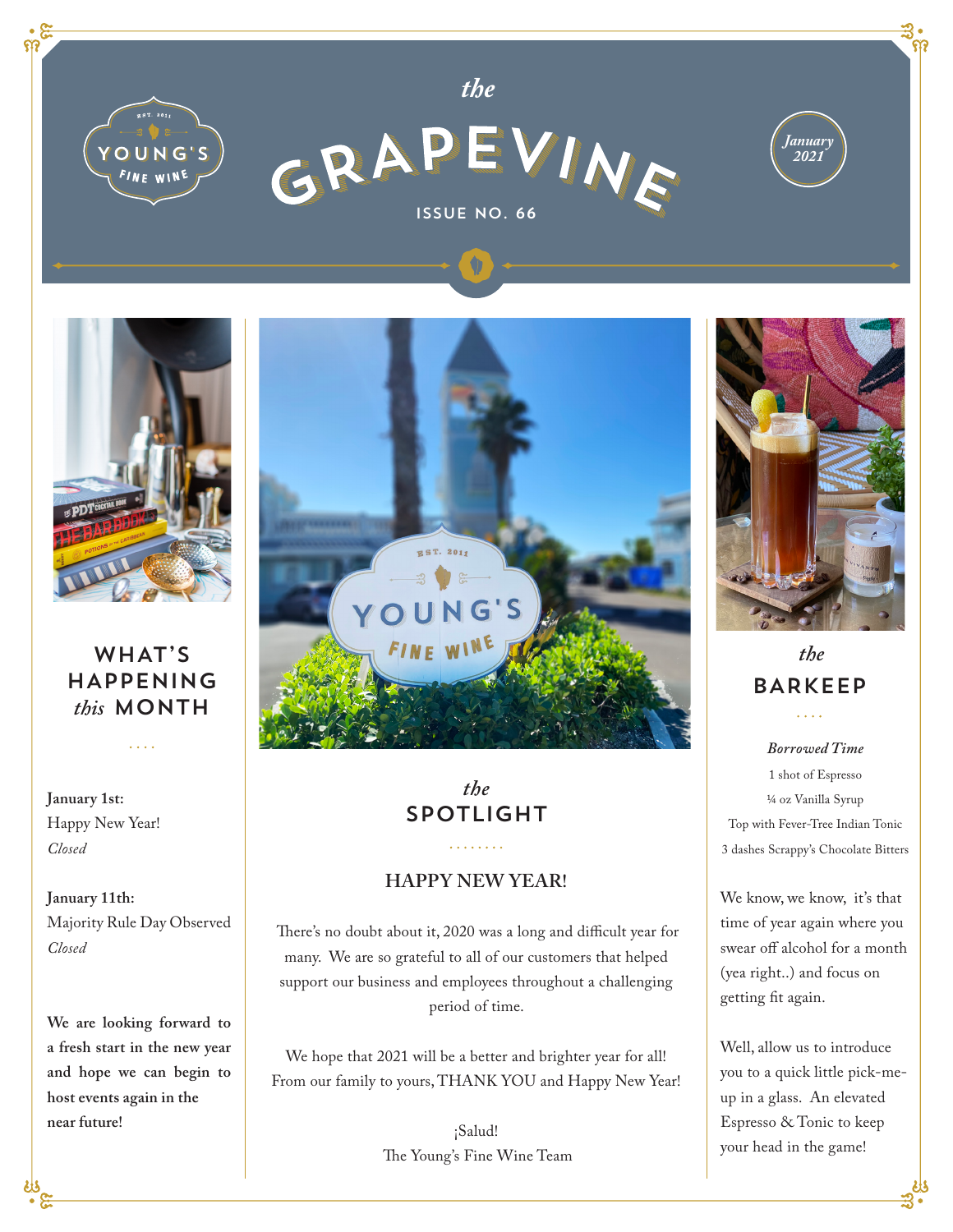



*the*



## WHAT'S HAPPENING *this* MONTH

 $\mathbf{1}$ 

**January 1st:**  Happy New Year! *Closed*

**January 11th:**  Majority Rule Day Observed *Closed*

**We are looking forward to a fresh start in the new year and hope we can begin to host events again in the near future!**



# *the* SPOTLIGHT

#### **HAPPY NEW YEAR!**

 There's no doubt about it, 2020 was a long and difficult year for many. We are so grateful to all of our customers that helped support our business and employees throughout a challenging period of time.

We hope that 2021 will be a better and brighter year for all! From our family to yours, THANK YOU and Happy New Year!

> ¡Salud! The Young's Fine Wine Team



*January 2021*

### *the* BARKEEP  $\ldots$

*Borrowed Time* 1 shot of Espresso ¼ oz Vanilla Syrup Top with Fever-Tree Indian Tonic 3 dashes Scrappy's Chocolate Bitters

We know, we know, it's that time of year again where you swear off alcohol for a month (yea right..) and focus on getting fit again.

Well, allow us to introduce you to a quick little pick-meup in a glass. An elevated Espresso & Tonic to keep your head in the game!